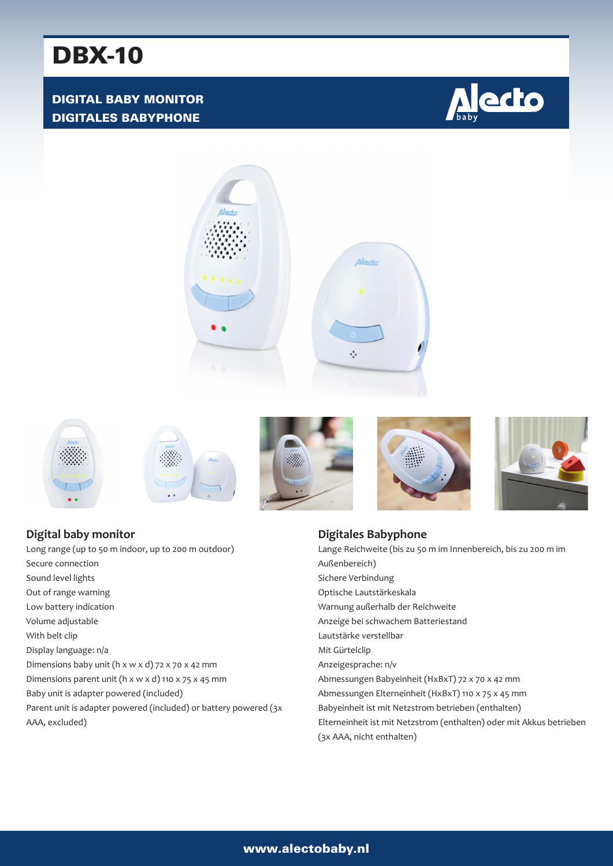# DBX-10

### DIGITAL BABY MONITOR DIGITALES BABYPHONE















**Digital baby monitor** Long range (up to 50 m indoor, up to 200 m outdoor) Secure connection Sound level lights Out of range warning Low battery indication Volume adjustable With belt clip Display language: n/a Dimensions baby unit (h x w x d) 72 x 70 x 42 mm Dimensions parent unit (h x w x d) 110 x 75 x 45 mm Baby unit is adapter powered (included) Parent unit is adapter powered (included) or battery powered (3x AAA, excluded)

#### **Digitales Babyphone**

Lange Reichweite (bis zu 50 m im Innenbereich, bis zu 200 m im Außenbereich) Sichere Verbindung Optische Lautstärkeskala Warnung außerhalb der Reichweite Anzeige bei schwachem Batteriestand Lautstärke verstellbar Mit Gürtelclip Anzeigesprache: n/v Abmessungen Babyeinheit (HxBxT) 72 x 70 x 42 mm Abmessungen Elterneinheit (HxBxT) 110 x 75 x 45 mm Babyeinheit ist mit Netzstrom betrieben (enthalten) Elterneinheit ist mit Netzstrom (enthalten) oder mit Akkus betrieben (3x AAA, nicht enthalten)